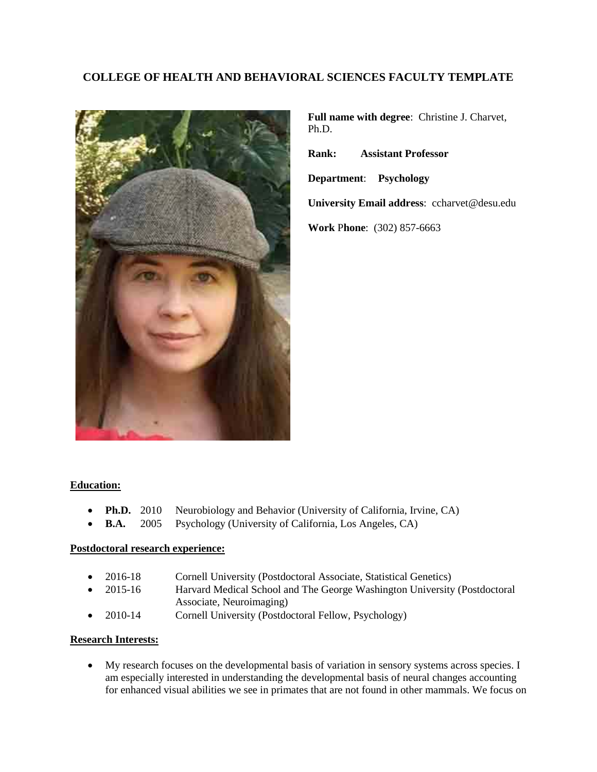# **COLLEGE OF HEALTH AND BEHAVIORAL SCIENCES FACULTY TEMPLATE**



**Full name with degree**: Christine J. Charvet, Ph.D.

**Rank: Assistant Professor**

**Department**: **Psychology**

**University Email address**: ccharvet@desu.edu

**Work** P**hone**: (302) 857-6663

## **Education:**

- **Ph.D.** 2010 Neurobiology and Behavior (University of California, Irvine, CA)
- **B.A.** 2005 Psychology (University of California, Los Angeles, CA)

## **Postdoctoral research experience:**

- 2016-18 Cornell University (Postdoctoral Associate, Statistical Genetics)
- 2015-16 Harvard Medical School and The George Washington University (Postdoctoral Associate, Neuroimaging)
- 2010-14 Cornell University (Postdoctoral Fellow, Psychology)

## **Research Interests:**

• My research focuses on the developmental basis of variation in sensory systems across species. I am especially interested in understanding the developmental basis of neural changes accounting for enhanced visual abilities we see in primates that are not found in other mammals. We focus on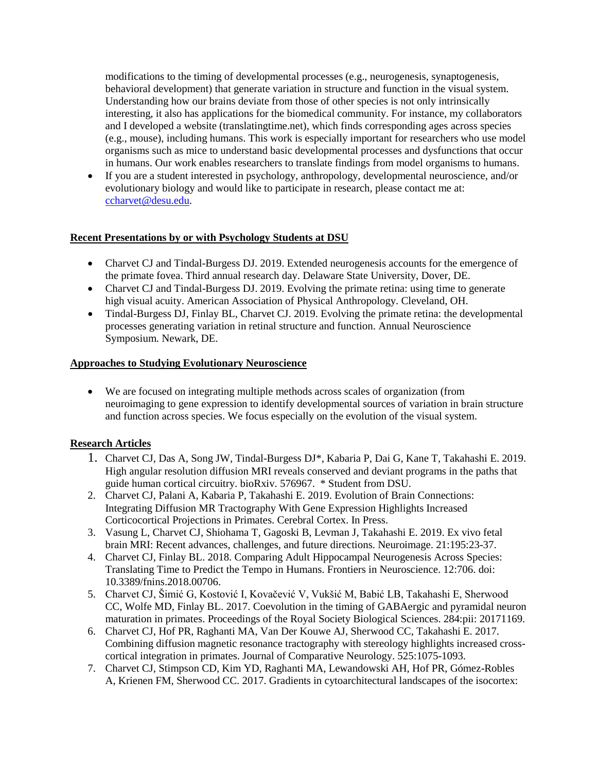modifications to the timing of developmental processes (e.g., neurogenesis, synaptogenesis, behavioral development) that generate variation in structure and function in the visual system. Understanding how our brains deviate from those of other species is not only intrinsically interesting, it also has applications for the biomedical community. For instance, my collaborators and I developed a website (translatingtime.net), which finds corresponding ages across species (e.g., mouse), including humans. This work is especially important for researchers who use model organisms such as mice to understand basic developmental processes and dysfunctions that occur in humans. Our work enables researchers to translate findings from model organisms to humans.

• If you are a student interested in psychology, anthropology, developmental neuroscience, and/or evolutionary biology and would like to participate in research, please contact me at: [ccharvet@desu.edu.](mailto:ccharvet@desu.edu)

## **Recent Presentations by or with Psychology Students at DSU**

- Charvet CJ and Tindal-Burgess DJ. 2019. Extended neurogenesis accounts for the emergence of the primate fovea. Third annual research day. Delaware State University, Dover, DE.
- Charvet CJ and Tindal-Burgess DJ. 2019. Evolving the primate retina: using time to generate high visual acuity. American Association of Physical Anthropology. Cleveland, OH.
- Tindal-Burgess DJ, Finlay BL, Charvet CJ. 2019. Evolving the primate retina: the developmental processes generating variation in retinal structure and function. Annual Neuroscience Symposium. Newark, DE.

## **Approaches to Studying Evolutionary Neuroscience**

• We are focused on integrating multiple methods across scales of organization (from neuroimaging to gene expression to identify developmental sources of variation in brain structure and function across species. We focus especially on the evolution of the visual system.

## **Research Articles**

- 1. Charvet CJ, Das A, Song JW, Tindal-Burgess DJ\*, Kabaria P, Dai G, Kane T, Takahashi E. 2019. High angular resolution diffusion MRI reveals conserved and deviant programs in the paths that guide human cortical circuitry. bioRxiv. 576967. \* Student from DSU.
- 2. Charvet CJ, Palani A, Kabaria P, Takahashi E. 2019. Evolution of Brain Connections: Integrating Diffusion MR Tractography With Gene Expression Highlights Increased Corticocortical Projections in Primates. Cerebral Cortex. In Press.
- 3. Vasung L, Charvet CJ, Shiohama T, Gagoski B, Levman J, Takahashi E. 2019. Ex vivo fetal brain MRI: Recent advances, challenges, and future directions. Neuroimage. 21:195:23-37.
- 4. Charvet CJ, Finlay BL. 2018. Comparing Adult Hippocampal Neurogenesis Across Species: Translating Time to Predict the Tempo in Humans. Frontiers in Neuroscience. 12:706. doi: 10.3389/fnins.2018.00706.
- 5. Charvet CJ, Šimić G, Kostović I, Kovačević V, Vukšić M, Babić LB, Takahashi E, Sherwood CC, Wolfe MD, Finlay BL. 2017. Coevolution in the timing of GABAergic and pyramidal neuron maturation in primates. Proceedings of the Royal Society Biological Sciences. 284:pii: 20171169.
- 6. Charvet CJ, Hof PR, Raghanti MA, Van Der Kouwe AJ, Sherwood CC, Takahashi E. 2017. Combining diffusion magnetic resonance tractography with stereology highlights increased crosscortical integration in primates. Journal of Comparative Neurology. 525:1075-1093.
- 7. Charvet CJ, Stimpson CD, Kim YD, Raghanti MA, Lewandowski AH, Hof PR, Gómez-Robles A, Krienen FM, Sherwood CC. 2017. Gradients in cytoarchitectural landscapes of the isocortex: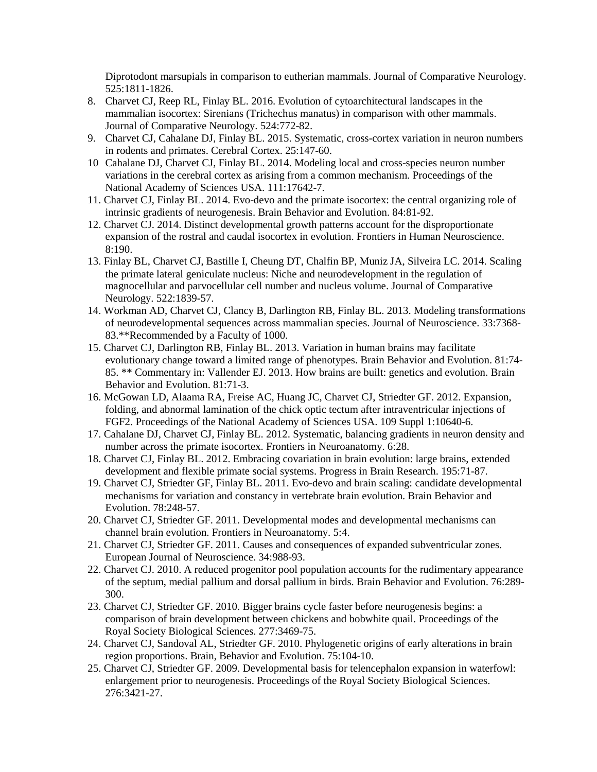Diprotodont marsupials in comparison to eutherian mammals. Journal of Comparative Neurology. 525:1811-1826.

- 8. Charvet CJ, Reep RL, Finlay BL. 2016. Evolution of cytoarchitectural landscapes in the mammalian isocortex: Sirenians (Trichechus manatus) in comparison with other mammals. Journal of Comparative Neurology. 524:772-82.
- 9. Charvet CJ, Cahalane DJ, Finlay BL. 2015. Systematic, cross-cortex variation in neuron numbers in rodents and primates. Cerebral Cortex. 25:147-60.
- 10 Cahalane DJ, Charvet CJ, Finlay BL. 2014. Modeling local and cross-species neuron number variations in the cerebral cortex as arising from a common mechanism. Proceedings of the National Academy of Sciences USA. 111:17642-7.
- 11. Charvet CJ, Finlay BL. 2014. Evo-devo and the primate isocortex: the central organizing role of intrinsic gradients of neurogenesis. Brain Behavior and Evolution. 84:81-92.
- 12. Charvet CJ. 2014. Distinct developmental growth patterns account for the disproportionate expansion of the rostral and caudal isocortex in evolution. Frontiers in Human Neuroscience. 8:190.
- 13. Finlay BL, Charvet CJ, Bastille I, Cheung DT, Chalfin BP, Muniz JA, Silveira LC. 2014. Scaling the primate lateral geniculate nucleus: Niche and neurodevelopment in the regulation of magnocellular and parvocellular cell number and nucleus volume. Journal of Comparative Neurology. 522:1839-57.
- 14. Workman AD, Charvet CJ, Clancy B, Darlington RB, Finlay BL. 2013. Modeling transformations of neurodevelopmental sequences across mammalian species. Journal of Neuroscience. 33:7368- 83.\*\*Recommended by a Faculty of 1000.
- 15. Charvet CJ, Darlington RB, Finlay BL. 2013. Variation in human brains may facilitate evolutionary change toward a limited range of phenotypes. Brain Behavior and Evolution. 81:74- 85. \*\* Commentary in: Vallender EJ. 2013. How brains are built: genetics and evolution. Brain Behavior and Evolution. 81:71-3.
- 16. McGowan LD, Alaama RA, Freise AC, Huang JC, Charvet CJ, Striedter GF. 2012. Expansion, folding, and abnormal lamination of the chick optic tectum after intraventricular injections of FGF2. Proceedings of the National Academy of Sciences USA. 109 Suppl 1:10640-6.
- 17. Cahalane DJ, Charvet CJ, Finlay BL. 2012. Systematic, balancing gradients in neuron density and number across the primate isocortex. Frontiers in Neuroanatomy. 6:28.
- 18. Charvet CJ, Finlay BL. 2012. Embracing covariation in brain evolution: large brains, extended development and flexible primate social systems. Progress in Brain Research. 195:71-87.
- 19. Charvet CJ, Striedter GF, Finlay BL. 2011. Evo-devo and brain scaling: candidate developmental mechanisms for variation and constancy in vertebrate brain evolution. Brain Behavior and Evolution. 78:248-57.
- 20. Charvet CJ, Striedter GF. 2011. Developmental modes and developmental mechanisms can channel brain evolution. Frontiers in Neuroanatomy. 5:4.
- 21. Charvet CJ, Striedter GF. 2011. Causes and consequences of expanded subventricular zones. European Journal of Neuroscience. 34:988-93.
- 22. Charvet CJ. 2010. A reduced progenitor pool population accounts for the rudimentary appearance of the septum, medial pallium and dorsal pallium in birds. Brain Behavior and Evolution. 76:289- 300.
- 23. Charvet CJ, Striedter GF. 2010. Bigger brains cycle faster before neurogenesis begins: a comparison of brain development between chickens and bobwhite quail. Proceedings of the Royal Society Biological Sciences. 277:3469-75.
- 24. Charvet CJ, Sandoval AL, Striedter GF. 2010. Phylogenetic origins of early alterations in brain region proportions. Brain, Behavior and Evolution. 75:104-10.
- 25. Charvet CJ, Striedter GF. 2009. Developmental basis for telencephalon expansion in waterfowl: enlargement prior to neurogenesis. Proceedings of the Royal Society Biological Sciences. 276:3421-27.